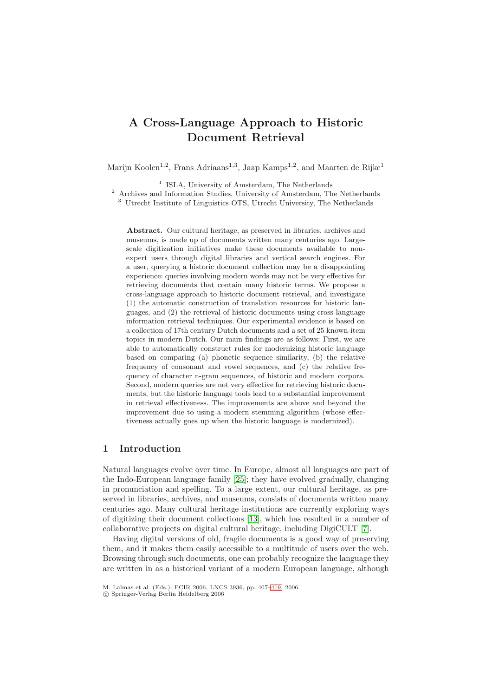# **A Cross-Language Approach to Historic Document Retrieval**

Marijn Koolen<sup>1,2</sup>, Frans Adriaans<sup>1,3</sup>, Jaap Kamps<sup>1,2</sup>, and Maarten de Rijke<sup>1</sup>

<sup>1</sup> ISLA, University of Amsterdam, The Netherlands

 $^2\,$  Archives and Information Studies, University of Amsterdam, The Netherlands

<sup>3</sup> Utrecht Institute of Linguistics OTS, Utrecht University, The Netherlands

**Abstract.** Our cultural heritage, as preserved in libraries, archives and museums, is made up of documents written many centuries ago. Largescale digitization initiatives make these documents available to nonexpert users through digital libraries and vertical search engines. For a user, querying a historic document collection may be a disappointing experience: queries involving modern words may not be very effective for retrieving documents that contain many historic terms. We propose a cross-language approach to historic document retrieval, and investigate (1) the automatic construction of translation resources for historic languages, and (2) the retrieval of historic documents using cross-language information retrieval techniques. Our experimental evidence is based on a collection of 17th century Dutch documents and a set of 25 known-item topics in modern Dutch. Our main findings are as follows: First, we are able to automatically construct rules for modernizing historic language based on comparing (a) phonetic sequence similarity, (b) the relative frequency of consonant and vowel sequences, and (c) the relative frequency of character n-gram sequences, of historic and modern corpora. Second, modern queries are not very effective for retrieving historic documents, but the historic language tools lead to a substantial improvement in retrieval effectiveness. The improvements are above and beyond the improvement due to using a modern stemming algorithm (whose effectiveness actually goes up when the historic language is modernized).

# **1 Introduction**

Natural languages evolve over time. In Europe, almost all languages are part of the Indo-European language family [\[25\]](#page-12-0); they have evolved gradually, changing in pronunciation and spelling. To a large extent, our cultural heritage, as preserved in libraries, archives, and museums, consists of documents written many centuries ago. Many cultural heritage institutions are currently exploring ways of digitizing their document collections [\[13\]](#page-11-0), which has resulted in a number of collaborative projects on digital cultural heritage, including DigiCULT [\[7\]](#page-11-1).

Having digital versions of old, fragile documents is a good way of preserving them, and it makes them easily accessible to a multitude of users over the web. Browsing through such documents, one can probably recognize the language they are written in as a historical variant of a modern European language, although

M. Lalmas et al. (Eds.): ECIR 2006, LNCS 3936, pp. 407[–419,](#page-11-2) 2006.

c Springer-Verlag Berlin Heidelberg 2006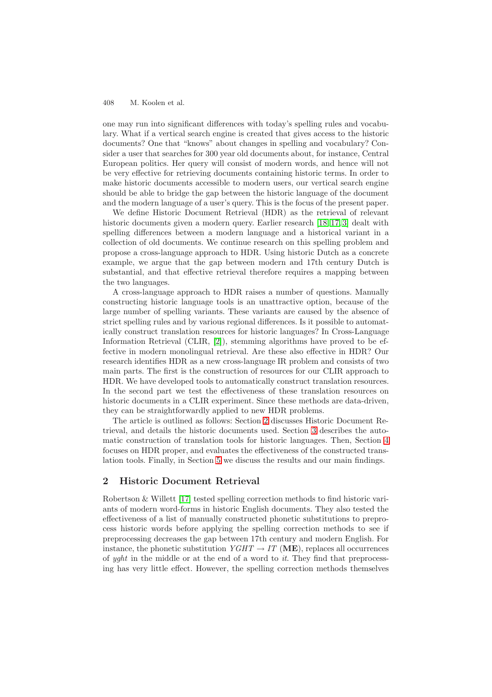one may run into significant differences with today's spelling rules and vocabulary. What if a vertical search engine is created that gives access to the historic documents? One that "knows" about changes in spelling and vocabulary? Consider a user that searches for 300 year old documents about, for instance, Central European politics. Her query will consist of modern words, and hence will not be very effective for retrieving documents containing historic terms. In order to make historic documents accessible to modern users, our vertical search engine should be able to bridge the gap between the historic language of the document and the modern language of a user's query. This is the focus of the present paper.

We define Historic Document Retrieval (HDR) as the retrieval of relevant historic documents given a modern query. Earlier research [\[18,](#page-11-3)[17,](#page-11-4) [3\]](#page-11-5) dealt with spelling differences between a modern language and a historical variant in a collection of old documents. We continue research on this spelling problem and propose a cross-language approach to HDR. Using historic Dutch as a concrete example, we argue that the gap between modern and 17th century Dutch is substantial, and that effective retrieval therefore requires a mapping between the two languages.

A cross-language approach to HDR raises a number of questions. Manually constructing historic language tools is an unattractive option, because of the large number of spelling variants. These variants are caused by the absence of strict spelling rules and by various regional differences. Is it possible to automatically construct translation resources for historic languages? In Cross-Language Information Retrieval (CLIR, [\[2\]](#page-11-6)), stemming algorithms have proved to be effective in modern monolingual retrieval. Are these also effective in HDR? Our research identifies HDR as a new cross-language IR problem and consists of two main parts. The first is the construction of resources for our CLIR approach to HDR. We have developed tools to automatically construct translation resources. In the second part we test the effectiveness of these translation resources on historic documents in a CLIR experiment. Since these methods are data-driven, they can be straightforwardly applied to new HDR problems.

The article is outlined as follows: Section [2](#page-1-0) discusses Historic Document Retrieval, and details the historic documents used. Section [3](#page-3-0) describes the automatic construction of translation tools for historic languages. Then, Section [4](#page-7-0) focuses on HDR proper, and evaluates the effectiveness of the constructed translation tools. Finally, in Section [5](#page-10-0) we discuss the results and our main findings.

### <span id="page-1-0"></span>**2 Historic Document Retrieval**

Robertson & Willett [\[17\]](#page-11-4) tested spelling correction methods to find historic variants of modern word-forms in historic English documents. They also tested the effectiveness of a list of manually constructed phonetic substitutions to preprocess historic words before applying the spelling correction methods to see if preprocessing decreases the gap between 17th century and modern English. For instance, the phonetic substitution  $YGHT \to IT$  (ME), replaces all occurrences of *yght* in the middle or at the end of a word to *it*. They find that preprocessing has very little effect. However, the spelling correction methods themselves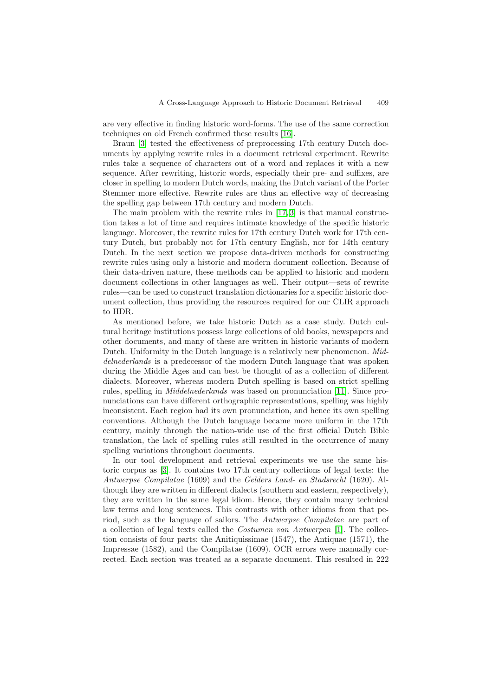are very effective in finding historic word-forms. The use of the same correction techniques on old French confirmed these results [\[16\]](#page-11-7).

Braun [\[3\]](#page-11-5) tested the effectiveness of preprocessing 17th century Dutch documents by applying rewrite rules in a document retrieval experiment. Rewrite rules take a sequence of characters out of a word and replaces it with a new sequence. After rewriting, historic words, especially their pre- and suffixes, are closer in spelling to modern Dutch words, making the Dutch variant of the Porter Stemmer more effective. Rewrite rules are thus an effective way of decreasing the spelling gap between 17th century and modern Dutch.

The main problem with the rewrite rules in  $[17, 3]$  $[17, 3]$  is that manual construction takes a lot of time and requires intimate knowledge of the specific historic language. Moreover, the rewrite rules for 17th century Dutch work for 17th century Dutch, but probably not for 17th century English, nor for 14th century Dutch. In the next section we propose data-driven methods for constructing rewrite rules using only a historic and modern document collection. Because of their data-driven nature, these methods can be applied to historic and modern document collections in other languages as well. Their output—sets of rewrite rules—can be used to construct translation dictionaries for a specific historic document collection, thus providing the resources required for our CLIR approach to HDR.

As mentioned before, we take historic Dutch as a case study. Dutch cultural heritage institutions possess large collections of old books, newspapers and other documents, and many of these are written in historic variants of modern Dutch. Uniformity in the Dutch language is a relatively new phenomenon. Middelnederlands is a predecessor of the modern Dutch language that was spoken during the Middle Ages and can best be thought of as a collection of different dialects. Moreover, whereas modern Dutch spelling is based on strict spelling rules, spelling in Middelnederlands was based on pronunciation [\[11\]](#page-11-8). Since pronunciations can have different orthographic representations, spelling was highly inconsistent. Each region had its own pronunciation, and hence its own spelling conventions. Although the Dutch language became more uniform in the 17th century, mainly through the nation-wide use of the first official Dutch Bible translation, the lack of spelling rules still resulted in the occurrence of many spelling variations throughout documents.

In our tool development and retrieval experiments we use the same historic corpus as [\[3\]](#page-11-5). It contains two 17th century collections of legal texts: the Antwerpse Compilatae (1609) and the Gelders Land- en Stadsrecht (1620). Although they are written in different dialects (southern and eastern, respectively), they are written in the same legal idiom. Hence, they contain many technical law terms and long sentences. This contrasts with other idioms from that period, such as the language of sailors. The Antwerpse Compilatae are part of a collection of legal texts called the Costumen van Antwerpen [\[1\]](#page-11-9). The collection consists of four parts: the Anitiquissimae (1547), the Antiquae (1571), the Impressae (1582), and the Compilatae (1609). OCR errors were manually corrected. Each section was treated as a separate document. This resulted in 222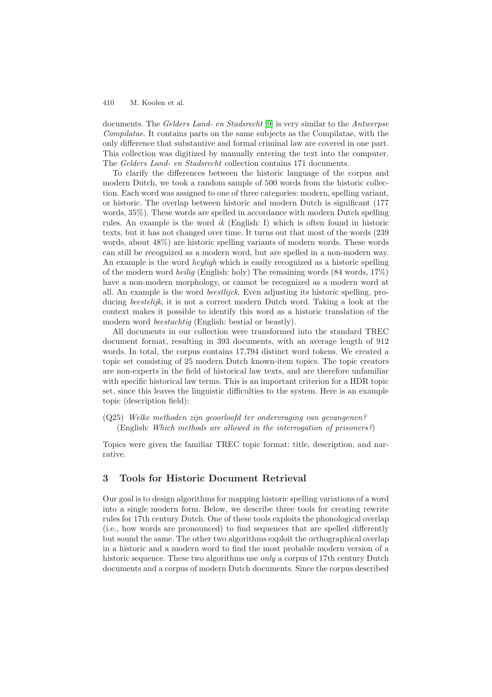documents. The Gelders Land- en Stadsrecht [\[9\]](#page-11-10) is very similar to the Antwerpse Compilatae. It contains parts on the same subjects as the Compilatae, with the only difference that substantive and formal criminal law are covered in one part. This collection was digitized by manually entering the text into the computer. The Gelders Land- en Stadsrecht collection contains 171 documents.

To clarify the differences between the historic language of the corpus and modern Dutch, we took a random sample of 500 words from the historic collection. Each word was assigned to one of three categories: modern, spelling variant, or historic. The overlap between historic and modern Dutch is significant (177 words, 35%). These words are spelled in accordance with modern Dutch spelling rules. An example is the word  $ik$  (English: I) which is often found in historic texts, but it has not changed over time. It turns out that most of the words (239 words, about 48%) are historic spelling variants of modern words. These words can still be recognized as a modern word, but are spelled in a non-modern way. An example is the word *heyligh* which is easily recognized as a historic spelling of the modern word heilig (English: holy) The remaining words (84 words, 17%) have a non-modern morphology, or cannot be recognized as a modern word at all. An example is the word beestlijck. Even adjusting its historic spelling, producing beestelijk, it is not a correct modern Dutch word. Taking a look at the context makes it possible to identify this word as a historic translation of the modern word beestachtig (English: bestial or beastly).

All documents in our collection were transformed into the standard TREC document format, resulting in 393 documents, with an average length of 912 words. In total, the corpus contains 17,794 distinct word tokens. We created a topic set consisting of 25 modern Dutch known-item topics. The topic creators are non-experts in the field of historical law texts, and are therefore unfamiliar with specific historical law terms. This is an important criterion for a HDR topic set, since this leaves the linguistic difficulties to the system. Here is an example topic (description field):

(Q25) Welke methoden zijn geoorloofd ter ondervraging van gevangenen? (English: Which methods are allowed in the interrogation of prisoners?)

Topics were given the familiar TREC topic format: title, description, and narrative.

# <span id="page-3-0"></span>**3 Tools for Historic Document Retrieval**

Our goal is to design algorithms for mapping historic spelling variations of a word into a single modern form. Below, we describe three tools for creating rewrite rules for 17th century Dutch. One of these tools exploits the phonological overlap (i.e., how words are pronounced) to find sequences that are spelled differently but sound the same. The other two algorithms exploit the orthographical overlap in a historic and a modern word to find the most probable modern version of a historic sequence. These two algorithms use *only* a corpus of 17th century Dutch documents and a corpus of modern Dutch documents. Since the corpus described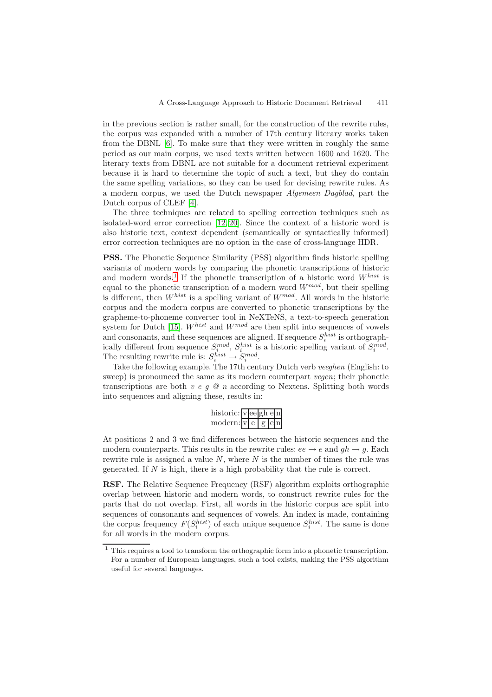in the previous section is rather small, for the construction of the rewrite rules, the corpus was expanded with a number of 17th century literary works taken from the DBNL [\[6\]](#page-11-11). To make sure that they were written in roughly the same period as our main corpus, we used texts written between 1600 and 1620. The literary texts from DBNL are not suitable for a document retrieval experiment because it is hard to determine the topic of such a text, but they do contain the same spelling variations, so they can be used for devising rewrite rules. As a modern corpus, we used the Dutch newspaper Algemeen Dagblad, part the Dutch corpus of CLEF [\[4\]](#page-11-12).

The three techniques are related to spelling correction techniques such as isolated-word error correction [\[12,](#page-11-13) [20\]](#page-12-1). Since the context of a historic word is also historic text, context dependent (semantically or syntactically informed) error correction techniques are no option in the case of cross-language HDR.

**PSS.** The Phonetic Sequence Similarity (PSS) algorithm finds historic spelling variants of modern words by comparing the phonetic transcriptions of historic and modern words.<sup>[1](#page-4-0)</sup> If the phonetic transcription of a historic word  $W^{hist}$  is equal to the phonetic transcription of a modern word  $W^{mod}$ , but their spelling is different, then  $W^{hist}$  is a spelling variant of  $W^{mod}$ . All words in the historic corpus and the modern corpus are converted to phonetic transcriptions by the grapheme-to-phoneme converter tool in NeXTeNS, a text-to-speech generation system for Dutch [\[15\]](#page-11-14).  $W^{hist}$  and  $W^{mod}$  are then split into sequences of vowels and consonants, and these sequences are aligned. If sequence  $S_i^{hist}$  is orthographically different from sequence  $S_i^{mod}$ ,  $S_i^{hist}$  is a historic spelling variant of  $S_i^{mod}$ . The resulting rewrite rule is:  $S_i^{hist} \rightarrow S_i^{mod}$ .

Take the following example. The 17th century Dutch verb veeghen (English: to sweep) is pronounced the same as its modern counterpart vegen; their phonetic transcriptions are both  $v e g Q n$  according to Nextens. Splitting both words into sequences and aligning these, results in:



At positions 2 and 3 we find differences between the historic sequences and the modern counterparts. This results in the rewrite rules:  $ee \rightarrow e$  and  $gh \rightarrow g$ . Each rewrite rule is assigned a value  $N$ , where  $N$  is the number of times the rule was generated. If  $N$  is high, there is a high probability that the rule is correct.

**RSF.** The Relative Sequence Frequency (RSF) algorithm exploits orthographic overlap between historic and modern words, to construct rewrite rules for the parts that do not overlap. First, all words in the historic corpus are split into sequences of consonants and sequences of vowels. An index is made, containing the corpus frequency  $F(S_i^{hist})$  of each unique sequence  $S_i^{hist}$ . The same is done for all words in the modern corpus.

<span id="page-4-0"></span><sup>1</sup> This requires a tool to transform the orthographic form into a phonetic transcription. For a number of European languages, such a tool exists, making the PSS algorithm useful for several languages.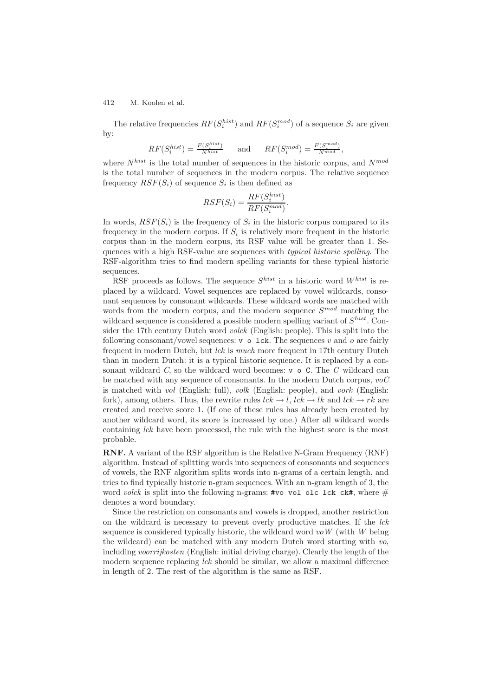The relative frequencies  $RF(S_i^{hist})$  and  $RF(S_i^{mod})$  of a sequence  $S_i$  are given by:

$$
RF(S_i^{hist}) = \frac{F(S_i^{hist})}{N^{hist}} \quad \text{and} \quad RF(S_i^{mod}) = \frac{F(S_i^{mod})}{N^{mod}},
$$

where  $N^{hist}$  is the total number of sequences in the historic corpus, and  $N^{mod}$ is the total number of sequences in the modern corpus. The relative sequence frequency  $RSF(S_i)$  of sequence  $S_i$  is then defined as

$$
RSF(S_i) = \frac{RF(S_i^{hist})}{RF(S_i^{mod})}.
$$

In words,  $RSF(S_i)$  is the frequency of  $S_i$  in the historic corpus compared to its frequency in the modern corpus. If  $S_i$  is relatively more frequent in the historic corpus than in the modern corpus, its RSF value will be greater than 1. Sequences with a high RSF-value are sequences with typical historic spelling. The RSF-algorithm tries to find modern spelling variants for these typical historic sequences.

RSF proceeds as follows. The sequence  $S^{hist}$  in a historic word  $W^{hist}$  is replaced by a wildcard. Vowel sequences are replaced by vowel wildcards, consonant sequences by consonant wildcards. These wildcard words are matched with words from the modern corpus, and the modern sequence  $S^{mod}$  matching the wildcard sequence is considered a possible modern spelling variant of  $S^{hist}$ . Consider the 17th century Dutch word volck (English: people). This is split into the following consonant/vowel sequences:  $v \circ \mathbf{l}$ ck. The sequences v and o are fairly frequent in modern Dutch, but lck is much more frequent in 17th century Dutch than in modern Dutch: it is a typical historic sequence. It is replaced by a consonant wildcard  $C$ , so the wildcard word becomes:  $v \circ C$ . The C wildcard can be matched with any sequence of consonants. In the modern Dutch corpus,  $\mathit{voC}$ is matched with vol (English: full), volk (English: people), and vork (English: fork), among others. Thus, the rewrite rules  $lck \rightarrow l$ ,  $lck \rightarrow lk$  and  $lck \rightarrow rk$  are created and receive score 1. (If one of these rules has already been created by another wildcard word, its score is increased by one.) After all wildcard words containing *lck* have been processed, the rule with the highest score is the most probable.

**RNF.** A variant of the RSF algorithm is the Relative N-Gram Frequency (RNF) algorithm. Instead of splitting words into sequences of consonants and sequences of vowels, the RNF algorithm splits words into n-grams of a certain length, and tries to find typically historic n-gram sequences. With an n-gram length of 3, the word volck is split into the following n-grams: #vo vol olc lck ck#, where  $#$ denotes a word boundary.

Since the restriction on consonants and vowels is dropped, another restriction on the wildcard is necessary to prevent overly productive matches. If the lck sequence is considered typically historic, the wildcard word  $v \circ W$  (with W being the wildcard) can be matched with any modern Dutch word starting with vo, including voorrijkosten (English: initial driving charge). Clearly the length of the modern sequence replacing *lck* should be similar, we allow a maximal difference in length of 2. The rest of the algorithm is the same as RSF.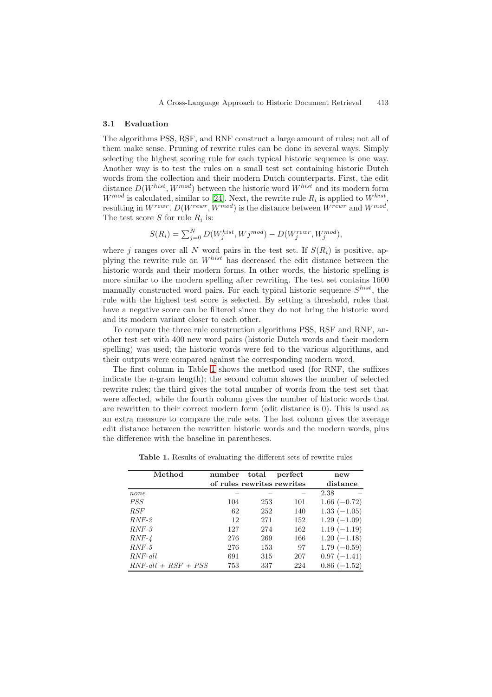#### **3.1 Evaluation**

The algorithms PSS, RSF, and RNF construct a large amount of rules; not all of them make sense. Pruning of rewrite rules can be done in several ways. Simply selecting the highest scoring rule for each typical historic sequence is one way. Another way is to test the rules on a small test set containing historic Dutch words from the collection and their modern Dutch counterparts. First, the edit distance  $D(W^{hist}, W^{mod})$  between the historic word  $W^{hist}$  and its modern form  $W^{mod}$  is calculated, similar to [\[24\]](#page-12-2). Next, the rewrite rule  $R_i$  is applied to  $W^{hist}$ , resulting in  $W^{rewr}$ .  $D(W^{rewr}, W^{mod})$  is the distance between  $W^{rewr}$  and  $W^{mod}$ . The test score S for rule  $R_i$  is:

$$
S(R_i) = \sum_{j=0}^{N} D(W_j^{hist}, W_j^{mod}) - D(W_j^{rewr}, W_j^{mod}),
$$

where j ranges over all N word pairs in the test set. If  $S(R_i)$  is positive, applying the rewrite rule on  $W^{hist}$  has decreased the edit distance between the historic words and their modern forms. In other words, the historic spelling is more similar to the modern spelling after rewriting. The test set contains 1600 manually constructed word pairs. For each typical historic sequence  $S^{hist}$ , the rule with the highest test score is selected. By setting a threshold, rules that have a negative score can be filtered since they do not bring the historic word and its modern variant closer to each other.

To compare the three rule construction algorithms PSS, RSF and RNF, another test set with 400 new word pairs (historic Dutch words and their modern spelling) was used; the historic words were fed to the various algorithms, and their outputs were compared against the corresponding modern word.

The first column in Table [1](#page-6-0) shows the method used (for RNF, the suffixes indicate the n-gram length); the second column shows the number of selected rewrite rules; the third gives the total number of words from the test set that were affected, while the fourth column gives the number of historic words that are rewritten to their correct modern form (edit distance is 0). This is used as an extra measure to compare the rule sets. The last column gives the average edit distance between the rewritten historic words and the modern words, plus the difference with the baseline in parentheses.

<span id="page-6-0"></span>

| Method                       | number total |     | perfect                    | new           |
|------------------------------|--------------|-----|----------------------------|---------------|
|                              |              |     | of rules rewrites rewrites | distance      |
| none                         |              |     |                            | 2.38          |
| PSS                          | 104          | 253 | 101                        | $1.66(-0.72)$ |
| RSF                          | 62           | 252 | 140                        | $1.33(-1.05)$ |
| $RNF-2$                      | 12           | 271 | 152                        | $1.29(-1.09)$ |
| $RNF-3$                      | 127          | 274 | 162                        | $1.19(-1.19)$ |
| $RNF-4$                      | 276          | 269 | 166                        | $1.20(-1.18)$ |
| $RNF-5$                      | 276          | 153 | 97                         | $1.79(-0.59)$ |
| $RNF-all$                    | 691          | 315 | 207                        | $0.97(-1.41)$ |
| $RNF\text{-}all + RSF + PSS$ | 753          | 337 | 224                        | $0.86(-1.52)$ |

**Table 1.** Results of evaluating the different sets of rewrite rules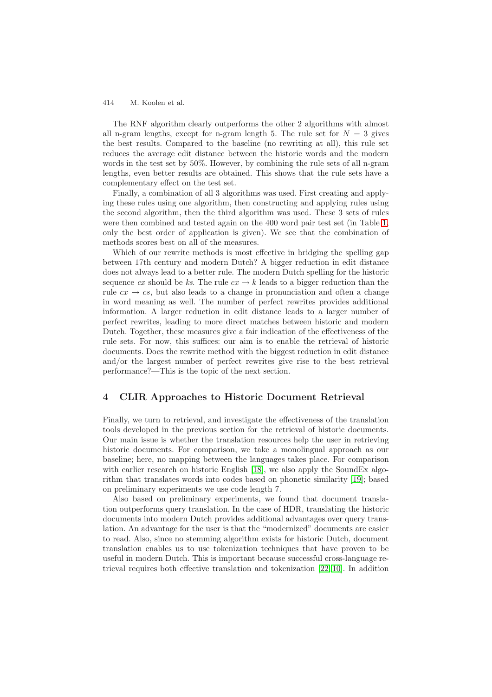The RNF algorithm clearly outperforms the other 2 algorithms with almost all n-gram lengths, except for n-gram length 5. The rule set for  $N = 3$  gives the best results. Compared to the baseline (no rewriting at all), this rule set reduces the average edit distance between the historic words and the modern words in the test set by 50%. However, by combining the rule sets of all n-gram lengths, even better results are obtained. This shows that the rule sets have a complementary effect on the test set.

Finally, a combination of all 3 algorithms was used. First creating and applying these rules using one algorithm, then constructing and applying rules using the second algorithm, then the third algorithm was used. These 3 sets of rules were then combined and tested again on the 400 word pair test set (in Table [1,](#page-6-0) only the best order of application is given). We see that the combination of methods scores best on all of the measures.

Which of our rewrite methods is most effective in bridging the spelling gap between 17th century and modern Dutch? A bigger reduction in edit distance does not always lead to a better rule. The modern Dutch spelling for the historic sequence cx should be ks. The rule  $cx \to k$  leads to a bigger reduction than the rule  $cx \rightarrow cs$ , but also leads to a change in pronunciation and often a change in word meaning as well. The number of perfect rewrites provides additional information. A larger reduction in edit distance leads to a larger number of perfect rewrites, leading to more direct matches between historic and modern Dutch. Together, these measures give a fair indication of the effectiveness of the rule sets. For now, this suffices: our aim is to enable the retrieval of historic documents. Does the rewrite method with the biggest reduction in edit distance and/or the largest number of perfect rewrites give rise to the best retrieval performance?—This is the topic of the next section.

### <span id="page-7-0"></span>**4 CLIR Approaches to Historic Document Retrieval**

Finally, we turn to retrieval, and investigate the effectiveness of the translation tools developed in the previous section for the retrieval of historic documents. Our main issue is whether the translation resources help the user in retrieving historic documents. For comparison, we take a monolingual approach as our baseline; here, no mapping between the languages takes place. For comparison with earlier research on historic English [\[18\]](#page-11-3), we also apply the SoundEx algorithm that translates words into codes based on phonetic similarity [\[19\]](#page-11-15); based on preliminary experiments we use code length 7.

Also based on preliminary experiments, we found that document translation outperforms query translation. In the case of HDR, translating the historic documents into modern Dutch provides additional advantages over query translation. An advantage for the user is that the "modernized" documents are easier to read. Also, since no stemming algorithm exists for historic Dutch, document translation enables us to use tokenization techniques that have proven to be useful in modern Dutch. This is important because successful cross-language retrieval requires both effective translation and tokenization [\[22,](#page-12-3) [10\]](#page-11-16). In addition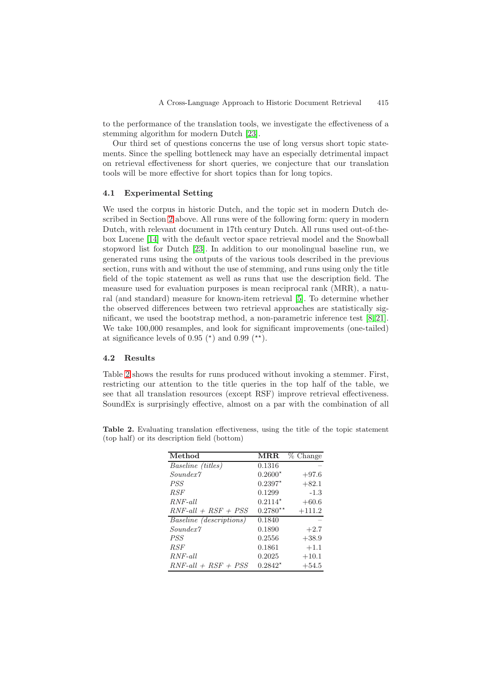to the performance of the translation tools, we investigate the effectiveness of a stemming algorithm for modern Dutch [\[23\]](#page-12-4).

Our third set of questions concerns the use of long versus short topic statements. Since the spelling bottleneck may have an especially detrimental impact on retrieval effectiveness for short queries, we conjecture that our translation tools will be more effective for short topics than for long topics.

### **4.1 Experimental Setting**

We used the corpus in historic Dutch, and the topic set in modern Dutch described in Section [2](#page-1-0) above. All runs were of the following form: query in modern Dutch, with relevant document in 17th century Dutch. All runs used out-of-thebox Lucene [\[14\]](#page-11-17) with the default vector space retrieval model and the Snowball stopword list for Dutch [\[23\]](#page-12-4). In addition to our monolingual baseline run, we generated runs using the outputs of the various tools described in the previous section, runs with and without the use of stemming, and runs using only the title field of the topic statement as well as runs that use the description field. The measure used for evaluation purposes is mean reciprocal rank (MRR), a natural (and standard) measure for known-item retrieval [\[5\]](#page-11-18). To determine whether the observed differences between two retrieval approaches are statistically significant, we used the bootstrap method, a non-parametric inference test [\[8,](#page-11-19) [21\]](#page-12-5). We take 100,000 resamples, and look for significant improvements (one-tailed) at significance levels of 0.95  $(\star)$  and 0.99  $(\star \star)$ .

# **4.2 Results**

Table [2](#page-8-0) shows the results for runs produced without invoking a stemmer. First, restricting our attention to the title queries in the top half of the table, we see that all translation resources (except RSF) improve retrieval effectiveness. SoundEx is surprisingly effective, almost on a par with the combination of all

<span id="page-8-0"></span>**Table 2.** Evaluating translation effectiveness, using the title of the topic statement (top half) or its description field (bottom)

| Method                       | $\operatorname{MRR}$ | % Change |
|------------------------------|----------------------|----------|
| <i>Baseline (titles)</i>     | 0.1316               |          |
| Sounder7                     | $0.2600*$            | $+97.6$  |
| <i>PSS</i>                   | $0.2397*$            | $+82.1$  |
| RSF                          | 0.1299               | $-1.3$   |
| $RNF$ -all                   | $0.2114*$            | $+60.6$  |
| $RNF\text{-}all + RSF + PSS$ | $0.2780**$           | $+111.2$ |
| Baseline (descriptions)      | 0.1840               |          |
| Sounder7                     | 0.1890               | $+2.7$   |
| <i>PSS</i>                   | 0.2556               | $+38.9$  |
| RSF                          | 0.1861               | $+1.1$   |
| $RNF$ -all                   | 0.2025               | $+10.1$  |
| $RNF\text{-}all + RSF + PSS$ | $0.2842*$            | $+54.5$  |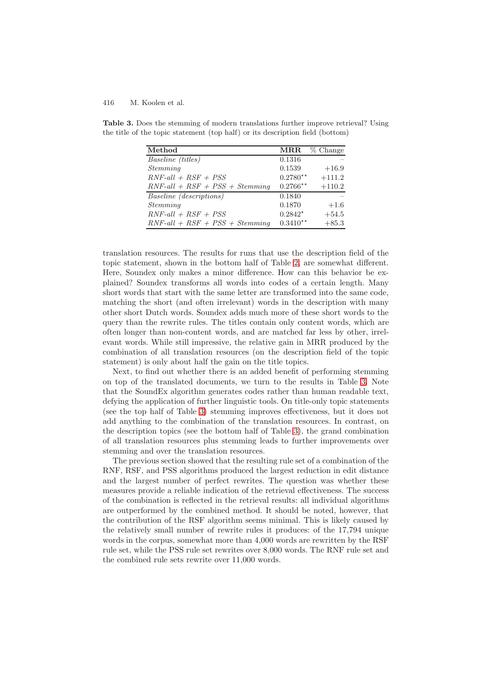| Method                                  |            | MRR % Change |
|-----------------------------------------|------------|--------------|
| Baseline (titles)                       | 0.1316     |              |
| <i>Stemming</i>                         | 0.1539     | $+16.9$      |
| $RNF-all + RSF + PSS$                   | $0.2780**$ | $+111.2$     |
| $RNF\text{-}all + RSF + PSS + Stemming$ | $0.2766**$ | $+110.2$     |
| <i>Baseline (descriptions)</i>          | 0.1840     |              |
| <i>Stemming</i>                         | 0.1870     | $+1.6$       |
| $RNF-all + RSF + PSS$                   | $0.2842*$  | $+54.5$      |
| $RNF\text{-}all + RSF + PSS + Stemming$ | $0.3410**$ | $+85.3$      |

<span id="page-9-0"></span>**Table 3.** Does the stemming of modern translations further improve retrieval? Using the title of the topic statement (top half) or its description field (bottom)

translation resources. The results for runs that use the description field of the topic statement, shown in the bottom half of Table [2,](#page-8-0) are somewhat different. Here, Soundex only makes a minor difference. How can this behavior be explained? Soundex transforms all words into codes of a certain length. Many short words that start with the same letter are transformed into the same code, matching the short (and often irrelevant) words in the description with many other short Dutch words. Soundex adds much more of these short words to the query than the rewrite rules. The titles contain only content words, which are often longer than non-content words, and are matched far less by other, irrelevant words. While still impressive, the relative gain in MRR produced by the combination of all translation resources (on the description field of the topic statement) is only about half the gain on the title topics.

Next, to find out whether there is an added benefit of performing stemming on top of the translated documents, we turn to the results in Table [3.](#page-9-0) Note that the SoundEx algorithm generates codes rather than human readable text, defying the application of further linguistic tools. On title-only topic statements (see the top half of Table [3\)](#page-9-0) stemming improves effectiveness, but it does not add anything to the combination of the translation resources. In contrast, on the description topics (see the bottom half of Table [3\)](#page-9-0), the grand combination of all translation resources plus stemming leads to further improvements over stemming and over the translation resources.

The previous section showed that the resulting rule set of a combination of the RNF, RSF, and PSS algorithms produced the largest reduction in edit distance and the largest number of perfect rewrites. The question was whether these measures provide a reliable indication of the retrieval effectiveness. The success of the combination is reflected in the retrieval results: all individual algorithms are outperformed by the combined method. It should be noted, however, that the contribution of the RSF algorithm seems minimal. This is likely caused by the relatively small number of rewrite rules it produces: of the 17,794 unique words in the corpus, somewhat more than 4,000 words are rewritten by the RSF rule set, while the PSS rule set rewrites over 8,000 words. The RNF rule set and the combined rule sets rewrite over 11,000 words.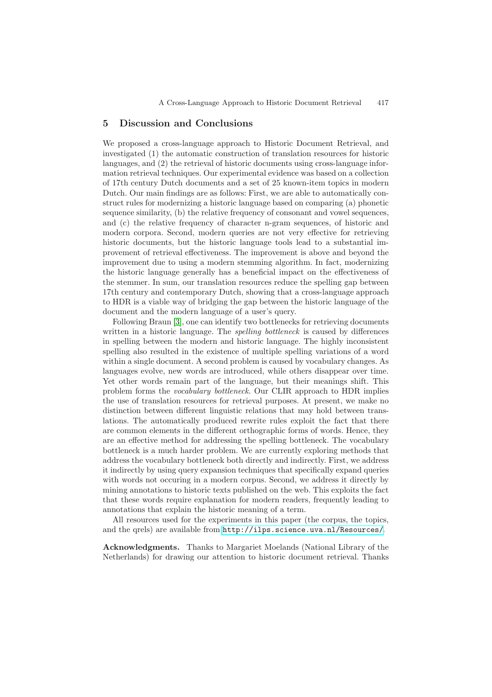# <span id="page-10-0"></span>**5 Discussion and Conclusions**

We proposed a cross-language approach to Historic Document Retrieval, and investigated (1) the automatic construction of translation resources for historic languages, and (2) the retrieval of historic documents using cross-language information retrieval techniques. Our experimental evidence was based on a collection of 17th century Dutch documents and a set of 25 known-item topics in modern Dutch. Our main findings are as follows: First, we are able to automatically construct rules for modernizing a historic language based on comparing (a) phonetic sequence similarity, (b) the relative frequency of consonant and vowel sequences, and (c) the relative frequency of character n-gram sequences, of historic and modern corpora. Second, modern queries are not very effective for retrieving historic documents, but the historic language tools lead to a substantial improvement of retrieval effectiveness. The improvement is above and beyond the improvement due to using a modern stemming algorithm. In fact, modernizing the historic language generally has a beneficial impact on the effectiveness of the stemmer. In sum, our translation resources reduce the spelling gap between 17th century and contemporary Dutch, showing that a cross-language approach to HDR is a viable way of bridging the gap between the historic language of the document and the modern language of a user's query.

Following Braun [\[3\]](#page-11-5), one can identify two bottlenecks for retrieving documents written in a historic language. The *spelling bottleneck* is caused by differences in spelling between the modern and historic language. The highly inconsistent spelling also resulted in the existence of multiple spelling variations of a word within a single document. A second problem is caused by vocabulary changes. As languages evolve, new words are introduced, while others disappear over time. Yet other words remain part of the language, but their meanings shift. This problem forms the vocabulary bottleneck. Our CLIR approach to HDR implies the use of translation resources for retrieval purposes. At present, we make no distinction between different linguistic relations that may hold between translations. The automatically produced rewrite rules exploit the fact that there are common elements in the different orthographic forms of words. Hence, they are an effective method for addressing the spelling bottleneck. The vocabulary bottleneck is a much harder problem. We are currently exploring methods that address the vocabulary bottleneck both directly and indirectly. First, we address it indirectly by using query expansion techniques that specifically expand queries with words not occuring in a modern corpus. Second, we address it directly by mining annotations to historic texts published on the web. This exploits the fact that these words require explanation for modern readers, frequently leading to annotations that explain the historic meaning of a term.

All resources used for the experiments in this paper (the corpus, the topics, and the qrels) are available from <http://ilps.science.uva.nl/Resources/>.

**Acknowledgments.** Thanks to Margariet Moelands (National Library of the Netherlands) for drawing our attention to historic document retrieval. Thanks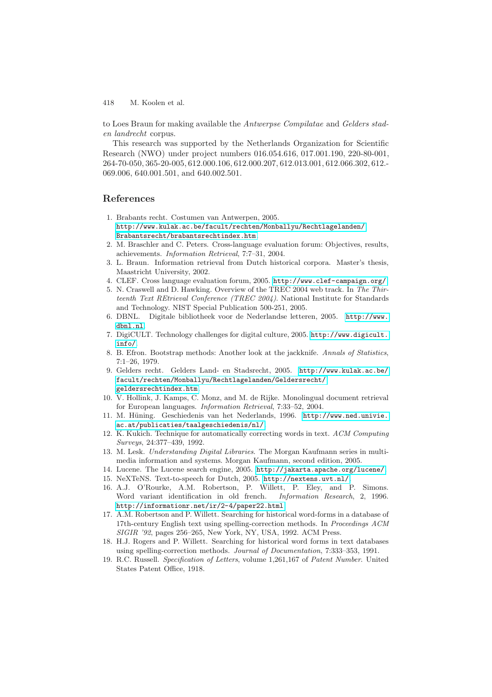to Loes Braun for making available the Antwerpse Compilatae and Gelders staden landrecht corpus.

This research was supported by the Netherlands Organization for Scientific Research (NWO) under project numbers 016.054.616, 017.001.190, 220-80-001, 264-70-050, 365-20-005, 612.000.106, 612.000.207, 612.013.001, 612.066.302, 612.- 069.006, 640.001.501, and 640.002.501.

# <span id="page-11-9"></span><span id="page-11-2"></span>**References**

- 1. Brabants recht. Costumen van Antwerpen, 2005. <http://www.kulak.ac.be/facult/rechten/Monballyu/Rechtlagelanden/> [Brabantsrecht/brabantsrechtindex.htm](Brabant srecht/brabantsrechtindex.htm).
- <span id="page-11-6"></span><span id="page-11-5"></span>2. M. Braschler and C. Peters. Cross-language evaluation forum: Objectives, results, achievements. Information Retrieval, 7:7–31, 2004.
- 3. L. Braun. Information retrieval from Dutch historical corpora. Master's thesis, Maastricht University, 2002.
- <span id="page-11-12"></span>4. CLEF. Cross language evaluation forum, 2005. <http://www.clef-campaign.org/>.
- <span id="page-11-18"></span>5. N. Craswell and D. Hawking. Overview of the TREC 2004 web track. In The Thirteenth Text REtrieval Conference (TREC 2004). National Institute for Standards and Technology. NIST Special Publication 500-251, 2005.
- <span id="page-11-11"></span><span id="page-11-1"></span>6. DBNL. Digitale bibliotheek voor de Nederlandse letteren, 2005. <http://www.> <dbnl.nl>.
- 7. DigiCULT. Technology challenges for digital culture, 2005. <http://www.digicult.> <info/>.
- <span id="page-11-19"></span>8. B. Efron. Bootstrap methods: Another look at the jackknife. Annals of Statistics, 7:1–26, 1979.
- <span id="page-11-10"></span>9. Gelders recht. Gelders Land- en Stadsrecht, 2005. <http://www.kulak.ac.be/> <facult/rechten/Monballyu/Rechtlagelanden/Geldersrecht/> <geldersrechtindex.htm>.
- <span id="page-11-16"></span>10. V. Hollink, J. Kamps, C. Monz, and M. de Rijke. Monolingual document retrieval for European languages. Information Retrieval, 7:33–52, 2004.
- <span id="page-11-8"></span>11. M. Hüning. Geschiedenis van het Nederlands, 1996. <http://www.ned.univie.> <ac.at/publicaties/taalgeschiedenis/nl/>.
- <span id="page-11-13"></span>12. K. Kukich. Technique for automatically correcting words in text. ACM Computing Surveys, 24:377–439, 1992.
- <span id="page-11-0"></span>13. M. Lesk. Understanding Digital Libraries. The Morgan Kaufmann series in multimedia information and systems. Morgan Kaufmann, second edition, 2005.
- <span id="page-11-17"></span><span id="page-11-14"></span>14. Lucene. The Lucene search engine, 2005. <http://jakarta.apache.org/lucene/>.
- <span id="page-11-7"></span>15. NeXTeNS. Text-to-speech for Dutch, 2005. <http://nextens.uvt.nl/>.
- 16. A.J. O'Rourke, A.M. Robertson, P. Willett, P. Eley, and P. Simons. Word variant identification in old french. Information Research, 2, 1996. <http://informationr.net/ir/2-4/paper22.html>.
- <span id="page-11-4"></span>17. A.M. Robertson and P. Willett. Searching for historical word-forms in a database of 17th-century English text using spelling-correction methods. In Proceedings ACM SIGIR '92, pages 256–265, New York, NY, USA, 1992. ACM Press.
- <span id="page-11-3"></span>18. H.J. Rogers and P. Willett. Searching for historical word forms in text databases using spelling-correction methods. Journal of Documentation, 7:333–353, 1991.
- <span id="page-11-15"></span>19. R.C. Russell. Specification of Letters, volume 1,261,167 of Patent Number. United States Patent Office, 1918.